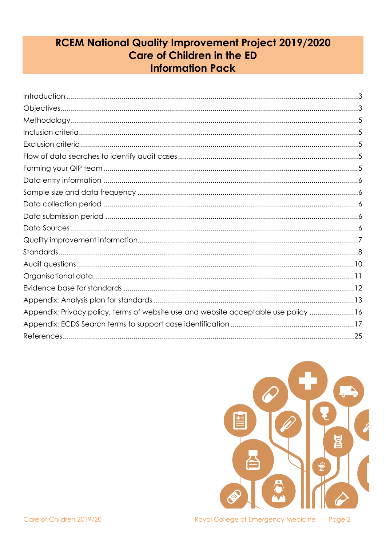# **RCEM National Quality Improvement Project 2019/2020 Care of Children in the ED Information Pack**

| Appendix: Privacy policy, terms of website use and website acceptable use policy 16 |
|-------------------------------------------------------------------------------------|
|                                                                                     |
|                                                                                     |

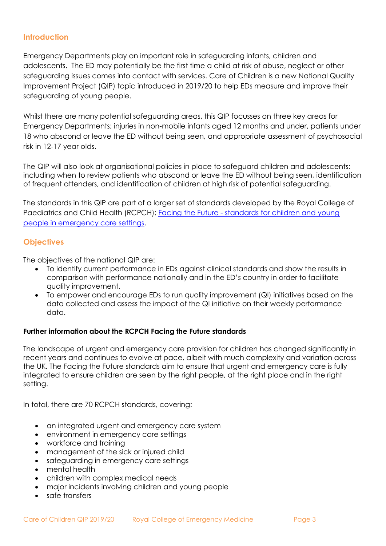### <span id="page-1-0"></span>**Introduction**

Emergency Departments play an important role in safeguarding infants, children and adolescents. The ED may potentially be the first time a child at risk of abuse, neglect or other safeguarding issues comes into contact with services. Care of Children is a new National Quality Improvement Project (QIP) topic introduced in 2019/20 to help EDs measure and improve their safeguarding of young people.

Whilst there are many potential safeguarding areas, this QIP focusses on three key areas for Emergency Departments; injuries in non-mobile infants aged 12 months and under, patients under 18 who abscond or leave the ED without being seen, and appropriate assessment of psychosocial risk in 12-17 year olds.

The QIP will also look at organisational policies in place to safeguard children and adolescents; including when to review patients who abscond or leave the ED without being seen, identification of frequent attenders, and identification of children at high risk of potential safeguarding.

The standards in this QIP are part of a larger set of standards developed by the Royal College of Paediatrics and Child Health (RCPCH): Facing the Future - [standards for children and young](https://www.rcpch.ac.uk/resources/facing-future-standards-paediatric-care)  [people in emergency care](https://www.rcpch.ac.uk/resources/facing-future-standards-paediatric-care) settings.

### <span id="page-1-1"></span>**Objectives**

The objectives of the national QIP are:

- To identify current performance in EDs against clinical standards and show the results in comparison with performance nationally and in the ED's country in order to facilitate quality improvement.
- To empower and encourage EDs to run quality improvement (QI) initiatives based on the data collected and assess the impact of the QI initiative on their weekly performance data.

### **Further information about the RCPCH Facing the Future standards**

The landscape of urgent and emergency care provision for children has changed significantly in recent years and continues to evolve at pace, albeit with much complexity and variation across the UK. The Facing the Future standards aim to ensure that urgent and emergency care is fully integrated to ensure children are seen by the right people, at the right place and in the right setting.

In total, there are 70 RCPCH standards, covering:

- an integrated urgent and emergency care system
- environment in emergency care settings
- workforce and training
- management of the sick or injured child
- safeguarding in emergency care settings
- mental health
- children with complex medical needs
- major incidents involving children and young people
- safe transfers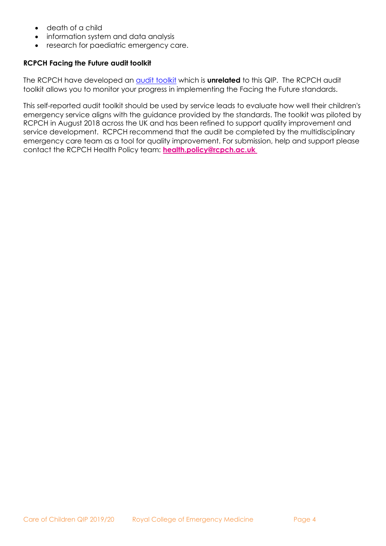- death of a child
- information system and data analysis
- research for paediatric emergency care.

### **RCPCH Facing the Future audit toolkit**

The RCPCH have developed an **audit toolkit** which is **unrelated** to this QIP. The RCPCH audit toolkit allows you to monitor your progress in implementing the Facing the Future standards.

This self-reported audit toolkit should be used by service leads to evaluate how well their children's emergency service aligns with the guidance provided by the standards. The toolkit was piloted by RCPCH in August 2018 across the UK and has been refined to support quality improvement and service development. RCPCH recommend that the audit be completed by the multidisciplinary emergency care team as a tool for quality improvement. For submission, help and support please contact the RCPCH Health Policy team: **[health.policy@rcpch.ac.uk](mailto:health.policy@rcpch.ac.uk)**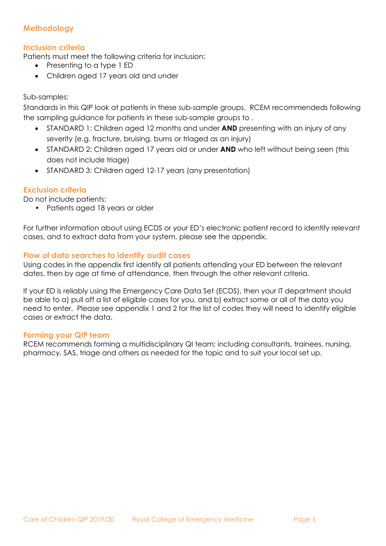# <span id="page-3-0"></span>**Methodology**

### <span id="page-3-1"></span>**Inclusion criteria**

Patients must meet the following criteria for inclusion:

- Presenting to a type 1 ED
- Children aged 17 years old and under

### Sub-samples:

Standards in this QIP look at patients in these sub-sample groups. RCEM recommendeds following the sampling guidance for patients in these sub-sample groups to .

- STANDARD 1: Children aged 12 months and under **AND** presenting with an injury of any severity (e.g. fracture, bruising, burns or triaged as an injury)
- STANDARD 2: Children aged 17 years old or under **AND** who left without being seen (this does not include triage)
- STANDARD 3: Children aged 12-17 years (any presentation)

### <span id="page-3-2"></span>**Exclusion criteria**

Do not include patients:

• Patients aged 18 years or older

For further information about using ECDS or your ED's electronic patient record to identify relevant cases, and to extract data from your system, please see the appendix.

### <span id="page-3-3"></span>**Flow of data searches to identify audit cases**

Using codes in the appendix first identify all patients attending your ED between the relevant dates, then by age at time of attendance, then through the other relevant criteria.

If your ED is reliably using the Emergency Care Data Set (ECDS), then your IT department should be able to a) pull off a list of eligible cases for you, and b) extract some or all of the data you need to enter. Please see appendix 1 and 2 for the list of codes they will need to identify eligible cases or extract the data.

### <span id="page-3-4"></span>**Forming your QIP team**

RCEM recommends forming a multidisciplinary QI team; including consultants, trainees, nursing, pharmacy, SAS, triage and others as needed for the topic and to suit your local set up.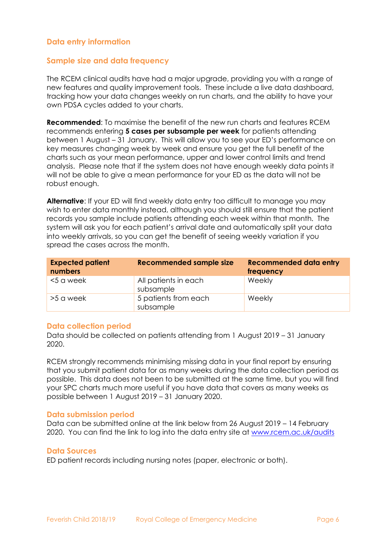### <span id="page-4-0"></span>**Data entry information**

#### <span id="page-4-1"></span>**Sample size and data frequency**

The RCEM clinical audits have had a major upgrade, providing you with a range of new features and quality improvement tools. These include a live data dashboard, tracking how your data changes weekly on run charts, and the ability to have your own PDSA cycles added to your charts.

**Recommended**: To maximise the benefit of the new run charts and features RCEM recommends entering **5 cases per subsample per week** for patients attending between 1 August – 31 January. This will allow you to see your ED's performance on key measures changing week by week and ensure you get the full benefit of the charts such as your mean performance, upper and lower control limits and trend analysis. Please note that if the system does not have enough weekly data points it will not be able to give a mean performance for your ED as the data will not be robust enough.

**Alternative**: If your ED will find weekly data entry too difficult to manage you may wish to enter data monthly instead, although you should still ensure that the patient records you sample include patients attending each week within that month. The system will ask you for each patient's arrival date and automatically split your data into weekly arrivals, so you can get the benefit of seeing weekly variation if you spread the cases across the month.

| <b>Expected patient</b><br>numbers | <b>Recommended sample size</b>    | <b>Recommended data entry</b><br>frequency |
|------------------------------------|-----------------------------------|--------------------------------------------|
| <5 a week                          | All patients in each<br>subsample | Weekly                                     |
| >5 a week                          | 5 patients from each<br>subsample | Weekly                                     |

#### <span id="page-4-2"></span>**Data collection period**

Data should be collected on patients attending from 1 August 2019 – 31 January 2020.

RCEM strongly recommends minimising missing data in your final report by ensuring that you submit patient data for as many weeks during the data collection period as possible. This data does not been to be submitted at the same time, but you will find your SPC charts much more useful if you have data that covers as many weeks as possible between 1 August 2019 – 31 January 2020.

#### <span id="page-4-3"></span>**Data submission period**

Data can be submitted online at the link below from 26 August 2019 – 14 February 2020. You can find the link to log into the data entry site at www.rcem.ac.uk/audits

#### <span id="page-4-4"></span>**Data Sources**

ED patient records including nursing notes (paper, electronic or both).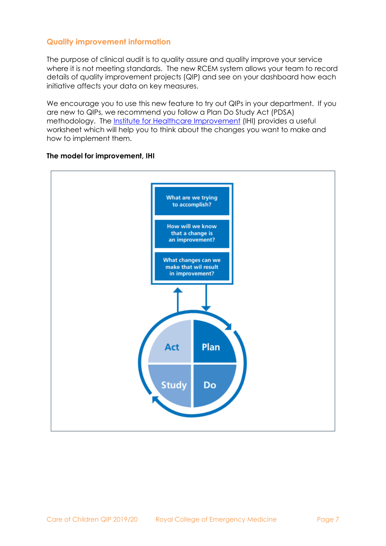### <span id="page-5-0"></span>**Quality improvement information**

The purpose of clinical audit is to quality assure and quality improve your service where it is not meeting standards. The new RCEM system allows your team to record details of quality improvement projects (QIP) and see on your dashboard how each initiative affects your data on key measures.

We encourage you to use this new feature to try out QIPs in your department. If you are new to QIPs, we recommend you follow a Plan Do Study Act (PDSA) methodology. The *Institute for Healthcare Improvement* (IHI) provides a useful worksheet which will help you to think about the changes you want to make and how to implement them.



#### **The model for improvement, IHI**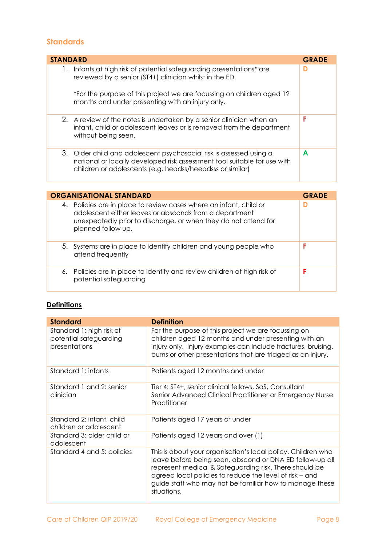# <span id="page-6-0"></span>**Standards**

| <b>STANDARD</b> |                                                                                                                                                                                                                                                           | <b>GRADE</b> |
|-----------------|-----------------------------------------------------------------------------------------------------------------------------------------------------------------------------------------------------------------------------------------------------------|--------------|
| $\mathbf{L}$    | Infants at high risk of potential safeguarding presentations* are<br>reviewed by a senior (ST4+) clinician whilst in the ED.<br>*For the purpose of this project we are focussing on children aged 12<br>months and under presenting with an injury only. |              |
|                 | 2. A review of the notes is undertaken by a senior clinician when an<br>infant, child or adolescent leaves or is removed from the department<br>without being seen.                                                                                       | F            |
|                 | 3. Older child and adolescent psychosocial risk is assessed using a<br>national or locally developed risk assessment tool suitable for use with<br>children or adolescents (e.g. headss/heeadsss or similar)                                              | A            |

| <b>ORGANISATIONAL STANDARD</b>                                                                                                                                                                                        | <b>GRADE</b> |
|-----------------------------------------------------------------------------------------------------------------------------------------------------------------------------------------------------------------------|--------------|
| 4. Policies are in place to review cases where an infant, child or<br>adolescent either leaves or absconds from a department<br>unexpectedly prior to discharge, or when they do not attend for<br>planned follow up. |              |
| 5. Systems are in place to identify children and young people who<br>attend frequently                                                                                                                                | F            |
| 6. Policies are in place to identify and review children at high risk of<br>potential safeguarding                                                                                                                    | F            |

### **Definitions**

| <b>Standard</b>                                                     | <b>Definition</b>                                                                                                                                                                                                                                                                                                       |
|---------------------------------------------------------------------|-------------------------------------------------------------------------------------------------------------------------------------------------------------------------------------------------------------------------------------------------------------------------------------------------------------------------|
| Standard 1: high risk of<br>potential safeguarding<br>presentations | For the purpose of this project we are focussing on<br>children aged 12 months and under presenting with an<br>injury only. Injury examples can include fractures, bruising,<br>burns or other presentations that are triaged as an injury.                                                                             |
| Standard 1: infants                                                 | Patients aged 12 months and under                                                                                                                                                                                                                                                                                       |
| Standard 1 and 2: senior<br>clinician                               | Tier 4: ST4+, senior clinical fellows, SaS, Consultant<br>Senior Advanced Clinical Practitioner or Emergency Nurse<br>Practitioner                                                                                                                                                                                      |
| Standard 2: infant, child<br>children or adolescent                 | Patients aged 17 years or under                                                                                                                                                                                                                                                                                         |
| Standard 3: older child or<br>adolescent                            | Patients aged 12 years and over (1)                                                                                                                                                                                                                                                                                     |
| Standard 4 and 5: policies                                          | This is about your organisation's local policy. Children who<br>leave before being seen, abscond or DNA ED follow-up all<br>represent medical & Safeguarding risk. There should be<br>agreed local policies to reduce the level of risk – and<br>guide staff who may not be familiar how to manage these<br>situations. |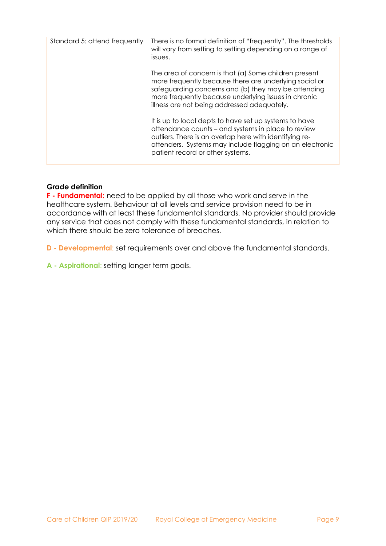| Standard 5: attend frequently | There is no formal definition of "frequently". The thresholds<br>will vary from setting to setting depending on a range of<br>issues.                                                                                                                                         |
|-------------------------------|-------------------------------------------------------------------------------------------------------------------------------------------------------------------------------------------------------------------------------------------------------------------------------|
|                               | The area of concern is that (a) Some children present<br>more frequently because there are underlying social or<br>safeguarding concerns and (b) they may be attending<br>more frequently because underlying issues in chronic<br>illness are not being addressed adequately. |
|                               | It is up to local depts to have set up systems to have<br>attendance counts – and systems in place to review<br>outliers. There is an overlap here with identifying re-<br>attenders. Systems may include flagging on an electronic<br>patient record or other systems.       |

#### **Grade definition**

**F - Fundamental:** need to be applied by all those who work and serve in the healthcare system. Behaviour at all levels and service provision need to be in accordance with at least these fundamental standards. No provider should provide any service that does not comply with these fundamental standards, in relation to which there should be zero tolerance of breaches.

**D - Developmental**: set requirements over and above the fundamental standards.

**A - Aspirational**: setting longer term goals.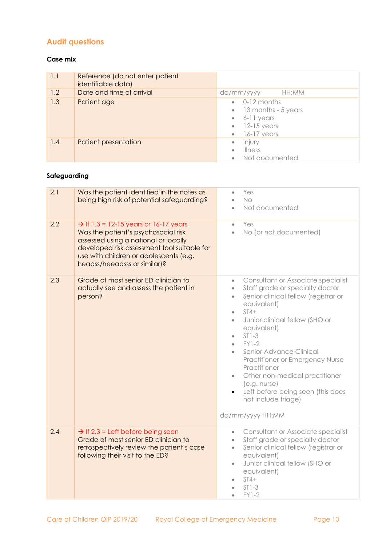# <span id="page-8-0"></span>**Audit questions**

#### **Case mix**

| 1.1 | Reference (do not enter patient<br>identifiable data) |                                                                                                                                   |
|-----|-------------------------------------------------------|-----------------------------------------------------------------------------------------------------------------------------------|
| 1.2 | Date and time of arrival                              | dd/mm/yyyy<br>HH:MM                                                                                                               |
| 1.3 | Patient age                                           | $\bullet$ 0-12 months<br>$\bullet$ 13 months - 5 years<br>$6 - 6 - 11$ years<br>$\bullet$ 12-15 years<br>16-17 years<br>$\bullet$ |
| 1.4 | Patient presentation                                  | Injury<br>$\bullet$<br>Illness<br>Not documented<br>$\bullet$                                                                     |

# **Safeguarding**

| 2.1 | Was the patient identified in the notes as<br>being high risk of potential safeguarding?                                                                                                                                                                  | Yes<br>$\bullet$<br><b>No</b><br>Not documented                                                                                                                                                                                                                                                                                                                                                                                                                                                                                       |
|-----|-----------------------------------------------------------------------------------------------------------------------------------------------------------------------------------------------------------------------------------------------------------|---------------------------------------------------------------------------------------------------------------------------------------------------------------------------------------------------------------------------------------------------------------------------------------------------------------------------------------------------------------------------------------------------------------------------------------------------------------------------------------------------------------------------------------|
| 2.2 | $\rightarrow$ If 1.3 = 12-15 years or 16-17 years<br>Was the patient's psychosocial risk<br>assessed using a national or locally<br>developed risk assessment tool suitable for<br>use with children or adolescents (e.g.<br>headss/heeadsss or similar)? | Yes<br>$\bullet$<br>No (or not documented)<br>$\bullet$                                                                                                                                                                                                                                                                                                                                                                                                                                                                               |
| 2.3 | Grade of most senior ED clinician to<br>actually see and assess the patient in<br>person?                                                                                                                                                                 | Consultant or Associate specialist<br>$\bullet$<br>Staff grade or specialty doctor<br>$\bullet$<br>Senior clinical fellow (registrar or<br>$\bullet$<br>equivalent)<br>$ST4+$<br>$\bullet$<br>Junior clinical fellow (SHO or<br>$\bullet$<br>equivalent)<br>$ST1-3$<br>$\bullet$<br>$FY1-2$<br>$\bullet$<br>Senior Advance Clinical<br>Practitioner or Emergency Nurse<br>Practitioner<br>Other non-medical practitioner<br>$\bullet$<br>(e.g. nurse)<br>Left before being seen (this does<br>not include triage)<br>dd/mm/yyyy HH:MM |
| 2.4 | $\rightarrow$ If 2.3 = Left before being seen<br>Grade of most senior ED clinician to<br>retrospectively review the patient's case<br>following their visit to the ED?                                                                                    | Consultant or Associate specialist<br>$\bullet$<br>Staff grade or specialty doctor<br>$\bullet$<br>Senior clinical fellow (registrar or<br>$\bullet$<br>equivalent)<br>Junior clinical fellow (SHO or<br>$\bullet$<br>equivalent)<br>$ST4+$<br>$ST1-3$<br><b>FY1-2</b>                                                                                                                                                                                                                                                                |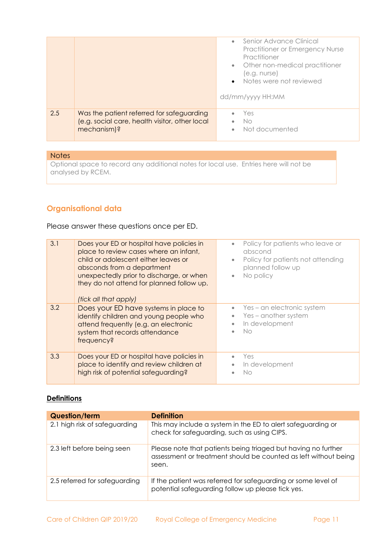|     |                                                                                                            | Senior Advance Clinical<br>$\bullet$<br>Practitioner or Emergency Nurse<br>Practitioner<br>• Other non-medical practitioner<br>(e.g. nurse)<br>• Notes were not reviewed<br>dd/mm/yyyy HH:MM |
|-----|------------------------------------------------------------------------------------------------------------|----------------------------------------------------------------------------------------------------------------------------------------------------------------------------------------------|
| 2.5 | Was the patient referred for safeguarding<br>(e.g. social care, health visitor, other local<br>mechanism)? | Yes<br>No<br>Not documented                                                                                                                                                                  |

#### **Notes**

Optional space to record any additional notes for local use. Entries here will not be analysed by RCEM.

# <span id="page-9-0"></span>**Organisational data**

Please answer these questions once per ED.

| 3.1 | Does your ED or hospital have policies in<br>place to review cases where an infant,<br>child or adolescent either leaves or<br>absconds from a department<br>unexpectedly prior to discharge, or when<br>they do not attend for planned follow up.<br>(tick all that apply) | Policy for patients who leave or<br>$\bullet$<br>abscond<br>Policy for patients not attending<br>$\bullet$<br>planned follow up<br>No policy<br>$\bullet$ |
|-----|-----------------------------------------------------------------------------------------------------------------------------------------------------------------------------------------------------------------------------------------------------------------------------|-----------------------------------------------------------------------------------------------------------------------------------------------------------|
| 3.2 | Does your ED have systems in place to<br>identify children and young people who<br>attend frequently (e.g. an electronic<br>system that records attendance<br>frequency?                                                                                                    | $\bullet$ Yes – an electronic system<br>Yes - another system<br>$\bullet$<br>In development<br>Nο                                                         |
| 3.3 | Does your ED or hospital have policies in<br>place to identify and review children at<br>high risk of potential safeguarding?                                                                                                                                               | Yes<br>In development<br>۰<br>No                                                                                                                          |

### **Definitions**

| <b>Question/term</b>          | <b>Definition</b>                                                                                                                         |
|-------------------------------|-------------------------------------------------------------------------------------------------------------------------------------------|
| 2.1 high risk of safeguarding | This may include a system in the ED to alert safeguarding or<br>check for safeguarding, such as using CIPS.                               |
| 2.3 left before being seen    | Please note that patients being triaged but having no further<br>assessment or treatment should be counted as left without being<br>seen. |
| 2.5 referred for safeguarding | If the patient was referred for safeguarding or some level of<br>potential safeguarding follow up please tick yes.                        |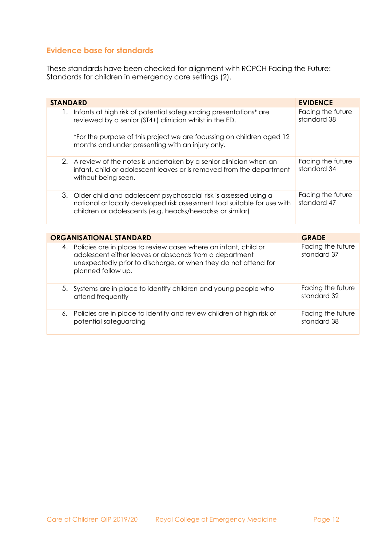### <span id="page-10-0"></span>**Evidence base for standards**

potential safeguarding

These standards have been checked for alignment with RCPCH Facing the Future: Standards for children in emergency care settings (2).

| <b>STANDARD</b>                                                                                                                                                                                                       | <b>EVIDENCE</b>                  |
|-----------------------------------------------------------------------------------------------------------------------------------------------------------------------------------------------------------------------|----------------------------------|
| Infants at high risk of potential safeguarding presentations* are<br>Ι.<br>reviewed by a senior (ST4+) clinician whilst in the ED.                                                                                    | Facing the future<br>standard 38 |
| *For the purpose of this project we are focussing on children aged 12<br>months and under presenting with an injury only.                                                                                             |                                  |
| 2. A review of the notes is undertaken by a senior clinician when an<br>infant, child or adolescent leaves or is removed from the department<br>without being seen.                                                   | Facing the future<br>standard 34 |
| 3. Older child and adolescent psychosocial risk is assessed using a<br>national or locally developed risk assessment tool suitable for use with<br>children or adolescents (e.g. headss/heeadsss or similar)          | Facing the future<br>standard 47 |
|                                                                                                                                                                                                                       |                                  |
| <b>ORGANISATIONAL STANDARD</b>                                                                                                                                                                                        | <b>GRADE</b>                     |
| 4. Policies are in place to review cases where an infant, child or<br>adolescent either leaves or absconds from a department<br>unexpectedly prior to discharge, or when they do not attend for<br>planned follow up. | Facing the future<br>standard 37 |

| 5. Systems are in place to identify children and young people who<br>attend frequently | Facing the future<br>standard 32 |
|----------------------------------------------------------------------------------------|----------------------------------|
| 6. Policies are in place to identify and review children at high risk of               | Facing the future                |

standard 38

Care of Children QIP 2019/20 Royal College of Emergency Medicine Page 12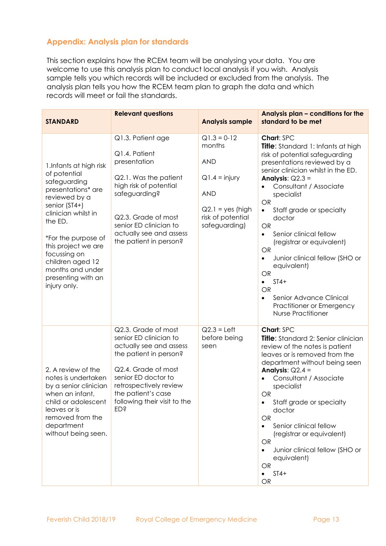# <span id="page-11-0"></span>**Appendix: Analysis plan for standards**

This section explains how the RCEM team will be analysing your data. You are welcome to use this analysis plan to conduct local analysis if you wish. Analysis sample tells you which records will be included or excluded from the analysis. The analysis plan tells you how the RCEM team plan to graph the data and which records will meet or fail the standards.

| <b>STANDARD</b>                                                                                                                                                                                                                                                                               | <b>Relevant questions</b>                                                                                                                                                                                                                     | <b>Analysis sample</b>                                                                                                             | Analysis plan - conditions for the<br>standard to be met                                                                                                                                                                                                                                                                                                                                                                                                                                                                                                                                                          |
|-----------------------------------------------------------------------------------------------------------------------------------------------------------------------------------------------------------------------------------------------------------------------------------------------|-----------------------------------------------------------------------------------------------------------------------------------------------------------------------------------------------------------------------------------------------|------------------------------------------------------------------------------------------------------------------------------------|-------------------------------------------------------------------------------------------------------------------------------------------------------------------------------------------------------------------------------------------------------------------------------------------------------------------------------------------------------------------------------------------------------------------------------------------------------------------------------------------------------------------------------------------------------------------------------------------------------------------|
| 1. Infants at high risk<br>of potential<br>safeguarding<br>presentations* are<br>reviewed by a<br>senior (ST4+)<br>clinician whilst in<br>the ED.<br>*For the purpose of<br>this project we are<br>focussing on<br>children aged 12<br>months and under<br>presenting with an<br>injury only. | Q1.3. Patient age<br>Q1.4. Patient<br>presentation<br>Q2.1. Was the patient<br>high risk of potential<br>safeguarding?<br>Q2.3. Grade of most<br>senior ED clinician to<br>actually see and assess<br>the patient in person?                  | $Q1.3 = 0-12$<br>months<br><b>AND</b><br>$Q1.4 = injury$<br><b>AND</b><br>$Q2.1 = yes$ (high<br>risk of potential<br>safeguarding) | Chart: SPC<br>Title: Standard 1: Infants at high<br>risk of potential safeguarding<br>presentations reviewed by a<br>senior clinician whilst in the ED.<br>Analysis: $Q2.3 =$<br>Consultant / Associate<br>$\bullet$<br>specialist<br><b>OR</b><br>Staff grade or specialty<br>$\bullet$<br>doctor<br><b>OR</b><br>Senior clinical fellow<br>$\bullet$<br>(registrar or equivalent)<br><b>OR</b><br>Junior clinical fellow (SHO or<br>$\bullet$<br>equivalent)<br><b>OR</b><br>$ST4+$<br>$\bullet$<br><b>OR</b><br>Senior Advance Clinical<br>$\bullet$<br>Practitioner or Emergency<br><b>Nurse Practitioner</b> |
| 2. A review of the<br>notes is undertaken<br>by a senior clinician<br>when an infant,<br>child or adolescent<br>leaves or is<br>removed from the<br>department<br>without being seen.                                                                                                         | Q2.3. Grade of most<br>senior ED clinician to<br>actually see and assess<br>the patient in person?<br>Q2.4. Grade of most<br>senior ED doctor to<br>retrospectively review<br>the patient's case<br>following their visit to the<br><b>ED</b> | $Q2.3 = Left$<br>before being<br>seen                                                                                              | Chart: SPC<br>Title: Standard 2: Senior clinician<br>review of the notes is patient<br>leaves or is removed from the<br>department without being seen<br>Analysis: $Q2.4 =$<br>Consultant / Associate<br>specialist<br><b>OR</b><br>Staff grade or specialty<br>doctor<br><b>OR</b><br>Senior clinical fellow<br>(registrar or equivalent)<br><b>OR</b><br>Junior clinical fellow (SHO or<br>equivalent)<br><b>OR</b><br>$ST4+$<br>$\bullet$<br>OR                                                                                                                                                                |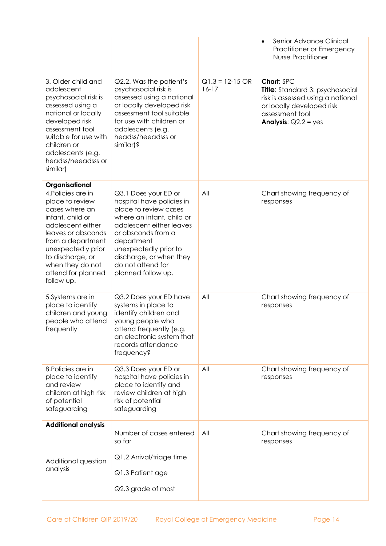|                                                                                                                                                                                                                                               |                                                                                                                                                                                                                                                                        |                                | Senior Advance Clinical<br>$\bullet$<br>Practitioner or Emergency<br><b>Nurse Practitioner</b>                                                                      |
|-----------------------------------------------------------------------------------------------------------------------------------------------------------------------------------------------------------------------------------------------|------------------------------------------------------------------------------------------------------------------------------------------------------------------------------------------------------------------------------------------------------------------------|--------------------------------|---------------------------------------------------------------------------------------------------------------------------------------------------------------------|
| 3. Older child and<br>adolescent<br>psychosocial risk is<br>assessed using a<br>national or locally<br>developed risk<br>assessment tool<br>suitable for use with<br>children or<br>adolescents (e.g.<br>headss/heeadsss or<br>similar)       | Q2.2. Was the patient's<br>psychosocial risk is<br>assessed using a national<br>or locally developed risk<br>assessment tool suitable<br>for use with children or<br>adolescents (e.g.<br>headss/heeadsss or<br>similar)?                                              | $Q1.3 = 12 - 15$ OR<br>$16-17$ | Chart: SPC<br>Title: Standard 3: psychosocial<br>risk is assessed using a national<br>or locally developed risk<br>assessment tool<br><b>Analysis:</b> $Q2.2 = yes$ |
| Organisational                                                                                                                                                                                                                                |                                                                                                                                                                                                                                                                        |                                |                                                                                                                                                                     |
| 4. Policies are in<br>place to review<br>cases where an<br>infant, child or<br>adolescent either<br>leaves or absconds<br>from a department<br>unexpectedly prior<br>to discharge, or<br>when they do not<br>attend for planned<br>follow up. | Q3.1 Does your ED or<br>hospital have policies in<br>place to review cases<br>where an infant, child or<br>adolescent either leaves<br>or absconds from a<br>department<br>unexpectedly prior to<br>discharge, or when they<br>do not attend for<br>planned follow up. | All                            | Chart showing frequency of<br>responses                                                                                                                             |
| 5.Systems are in<br>place to identify<br>children and young<br>people who attend<br>frequently                                                                                                                                                | Q3.2 Does your ED have<br>systems in place to<br>identify children and<br>young people who<br>attend frequently (e.g.<br>an electronic system that<br>records attendance<br>frequency?                                                                                 | All                            | Chart showing frequency of<br>responses                                                                                                                             |
| 8. Policies are in<br>place to identify<br>and review<br>children at high risk<br>of potential<br>safeguarding                                                                                                                                | Q3.3 Does your ED or<br>hospital have policies in<br>place to identify and<br>review children at high<br>risk of potential<br>safeguarding                                                                                                                             | All                            | Chart showing frequency of<br>responses                                                                                                                             |
| <b>Additional analysis</b>                                                                                                                                                                                                                    |                                                                                                                                                                                                                                                                        |                                |                                                                                                                                                                     |
| Additional question<br>analysis                                                                                                                                                                                                               | Number of cases entered<br>so far<br>Q1.2 Arrival/triage time<br>Q1.3 Patient age<br>Q2.3 grade of most                                                                                                                                                                | All                            | Chart showing frequency of<br>responses                                                                                                                             |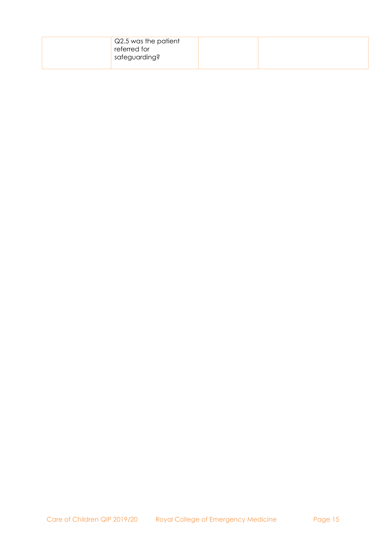| Q2.5 was the patient<br>referred for<br>safeguarding? |  |
|-------------------------------------------------------|--|
|-------------------------------------------------------|--|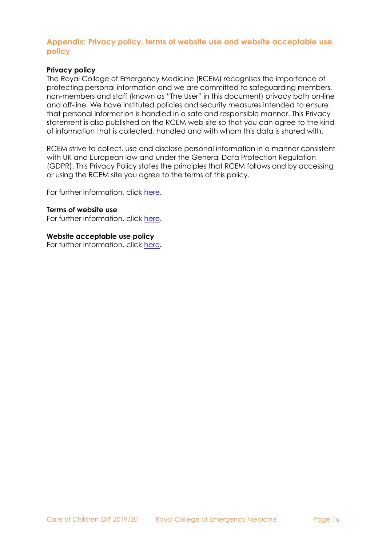### <span id="page-14-0"></span>**Appendix: Privacy policy, terms of website use and website acceptable use policy**

#### **Privacy policy**

The Royal College of Emergency Medicine (RCEM) recognises the importance of protecting personal information and we are committed to safeguarding members, non-members and staff (known as "The User" in this document) privacy both on-line and off-line. We have instituted policies and security measures intended to ensure that personal information is handled in a safe and responsible manner. This Privacy statement is also published on the RCEM web site so that you can agree to the kind of information that is collected, handled and with whom this data is shared with.

RCEM strive to collect, use and disclose personal information in a manner consistent with UK and European law and under the General Data Protection Regulation (GDPR). This Privacy Policy states the principles that RCEM follows and by accessing or using the RCEM site you agree to the terms of this policy.

For further information, click [here.](https://www.rcem.ac.uk/RCEM/Privacy_Policy.aspx)

#### **Terms of website use**

For further information, click [here.](https://www.rcem.ac.uk/RCEM/About/Terms_of_Website_Use/RCEM/Terms_of_Website_Use.aspx?hkey=9ab38bf9-1823-49c3-8958-c9359326a5e5)

#### **Website acceptable use policy**

For further information, click [here](https://www.rcem.ac.uk/RCEM/About/Website_Acceptable_Use_Policy/RCEM/Website_Acceptable_Use_Policy.aspx?hkey=6b837b58-b5d6-479b-8e47-68402254c275&WebsiteKey=b3d6bb2a-abba-44ed-b758-467776a958cd)**.**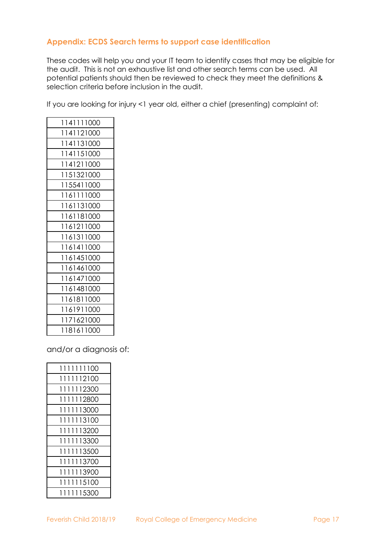# <span id="page-15-0"></span>**Appendix: ECDS Search terms to support case identification**

These codes will help you and your IT team to identify cases that may be eligible for the audit. This is not an exhaustive list and other search terms can be used. All potential patients should then be reviewed to check they meet the definitions & selection criteria before inclusion in the audit.

If you are looking for injury <1 year old, either a chief (presenting) complaint of:

| 1141111000 |
|------------|
| 1141121000 |
| 1141131000 |
| 1141151000 |
| 1141211000 |
| 1151321000 |
| 1155411000 |
| 1161111000 |
| 1161131000 |
| 1161181000 |
| 1161211000 |
| 1161311000 |
| 1161411000 |
| 1161451000 |
| 1161461000 |
| 1161471000 |
| 1161481000 |
| 1161811000 |
| 1161911000 |
| 1171621000 |
| 1181611000 |

and/or a diagnosis of:

| 1111111100 |
|------------|
| 1111112100 |
| 1111112300 |
| 1111112800 |
| 1111113000 |
| 1111113100 |
| 1111113200 |
| 1111113300 |
| 1111113500 |
| 1111113700 |
| 1111113900 |
| 1111115100 |
| 1111115300 |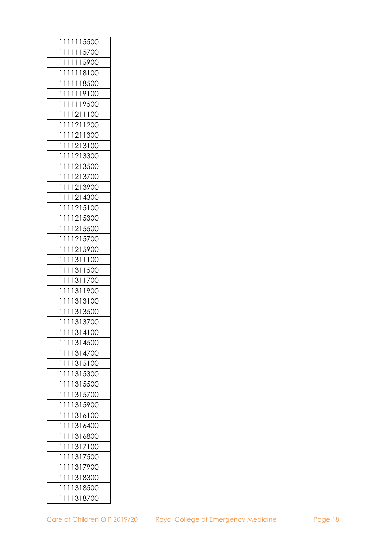| 15500<br>1<br>1<br>1<br>1<br>1 |
|--------------------------------|
| 1<br>1<br>1<br>1<br>1<br>15700 |
| 1<br>1<br>1<br>1<br>1<br>15900 |
| 1<br>1<br>1<br>1<br>18100<br>1 |
| 1<br>1<br>1<br>1<br>1<br>18500 |
| 1<br>1<br>1<br>1<br>1<br>19100 |
| 1<br>1<br>1<br>1<br>1<br>19500 |
| 1<br>1211100<br>1<br>1         |
| 1<br>1<br>1<br>1211200         |
| 1<br>1211300<br>1<br>1         |
| 1<br>1213100<br>1<br>1         |
| 1<br>1<br>1<br>1213300         |
| 1<br>1213500<br>1<br>1         |
| 1<br>1<br>1<br>1213700         |
| 1<br>1<br>1<br>1213900         |
| 1<br>1<br>1<br>1214300         |
| 1<br>1<br>1<br>1215100         |
| 1<br>1<br>1<br>1215300         |
| 1215500<br>1<br>1<br>1         |
| 1<br>1<br>1<br>1215700         |
| 1<br>1<br>1<br>1215900         |
| 1<br>1311100<br>1<br>1         |
| 1<br>1311500<br>1<br>1         |
| 1<br>1<br>1<br>1311700         |
| 1<br>1<br>1<br>1311900         |
| 1<br>1313100<br>1<br>1         |
| 1<br>1<br>1313500<br>1         |
| 1<br>1<br>1<br>1313700         |
| 1314100<br>1<br>1<br>1         |
| 1<br>1<br>1<br>1314500         |
| 1<br>1<br>1314700<br>1         |
| 1<br>1<br>1<br>1315100         |
| 1<br>1<br>1<br>1315300         |
| 1<br>1<br>1315500<br>1         |
| 1<br>1<br>1<br>1315700         |
| 1<br>1<br>1315900<br>1         |
| 1<br>1<br>1316100<br>1         |
| 1<br>1<br>1<br>1316400         |
| 1<br>1<br>1<br>1316800         |
| 1<br>1317100<br>1<br>1         |
| 1<br>1<br>1<br>1317500         |
| 1<br>1<br>1<br>1317900         |
| 1<br>1318300<br>1<br>1         |
| 1<br>1<br>1<br>1318500         |
| 1<br>1<br>1<br>1318700         |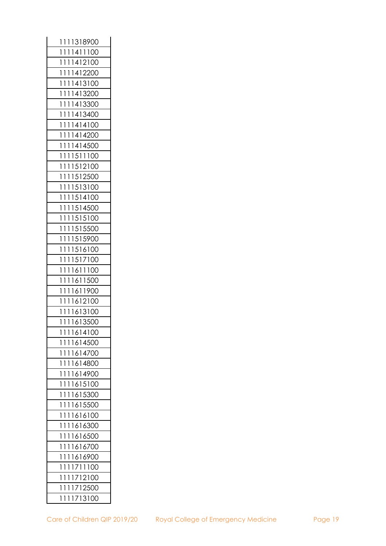| 1318900<br>1<br>1<br>1     |
|----------------------------|
| 1<br>1411100<br>1<br>1     |
| 1<br>1<br>1<br>1412100     |
| 1<br>1412200<br>1<br>1     |
| 1<br>1<br>1<br>1413100     |
| 1<br>1<br>1<br>1413200     |
| 1<br>1413300<br>1<br>1     |
| 1<br>1<br>1<br>1413400     |
| 1<br>1<br>1<br>1414100     |
| 1<br>1414200<br>1<br>1     |
| 1<br>1<br>1<br>1414500     |
| 1<br>1<br>1<br>1511100     |
| 1<br>1512100<br>1<br>1     |
| 1<br>1<br>1<br>1512500     |
| 1513100<br>1<br>1<br>1     |
| 1<br>1514100<br>1<br>1     |
| 1514500<br>1<br>1<br>1     |
| 1<br>1<br>1<br>1515100     |
| 1<br>1515500<br>1<br>1     |
| 1515900<br>1<br>1<br>1     |
| 1<br>1<br>1<br>1516100     |
| 1<br>1517100<br>1<br>1     |
| 1<br>1<br>1<br>1611100     |
| 1<br>1<br>1<br>1611500     |
| 1<br>1611900<br>1<br>1     |
| 1<br>1<br>1<br>1612100     |
| 1<br>1613100<br>1<br>1     |
| 1<br>1<br>1<br>1613500     |
| 1614100<br>1<br>1<br>-1    |
| 1614500<br>1<br>1<br>1     |
| 1<br>1<br>1614700<br>1     |
| 1<br>1<br>1614800<br>1     |
| 1614900<br>1<br>1<br>1     |
| 1<br>1<br>1615100<br>1     |
| 1<br>1<br>1615300<br>1     |
| 1615500<br>1<br>1<br>1     |
| 1<br>1<br>1616100<br>1     |
| 1<br>1<br>1616300<br>1     |
| 1<br>1616500<br>1<br>1     |
| 1<br>1<br>1616700<br>1     |
| 1<br>1<br>1<br>1616900     |
| 1711100<br>1<br>1<br>1     |
| 1<br>1<br>1712100<br>1     |
| 1<br>1<br>1712500<br>1     |
| 713100<br>1<br>1<br>1<br>1 |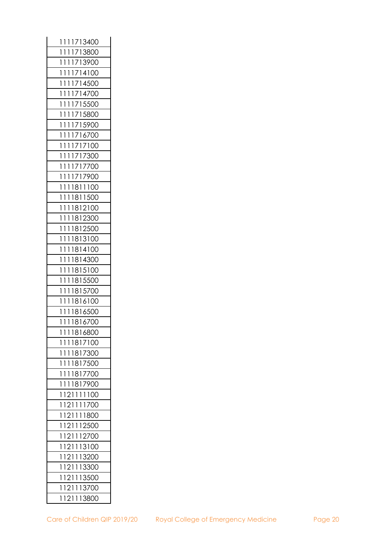| 1713400<br>1<br>1<br>1                |
|---------------------------------------|
| 1<br>1<br>1<br>1<br>13800<br>7        |
| 1<br>1<br>1<br>1<br>713900            |
| 1<br>1<br>1<br>714100<br>1            |
| 1<br>1<br>1<br>1<br>714500            |
| 1<br>1<br>1<br>1<br>714700            |
| 1<br>1<br>715500<br>1<br>1            |
| 1<br>1<br>1<br>1<br>715800            |
| 1<br>1<br>1<br>$\mathsf{l}$<br>715900 |
| 1<br>1<br>1<br>1<br>716700            |
| 1<br>$\mathbf{I}$<br>1<br>1<br>717100 |
| 1<br>1<br>1<br>1<br>717300            |
| 1<br>1<br>1<br>1<br>717700            |
| 1<br>1<br>1<br>1717900                |
| 1<br>1<br>1<br>1811<br>100            |
| 1811500<br>1<br>1<br>1                |
| 1<br>1<br>1<br>1812100                |
| 1<br>1<br>1<br>1812300                |
| 1812500<br>1<br>Ì<br>1                |
| 1<br>1<br>1<br>1813100                |
| 1<br>1<br>1<br>1814100                |
| 1<br>1<br>1<br>1814300                |
| 1<br>1<br>1<br>1815100                |
| 1<br>1815500<br>1<br>1                |
| 1<br>1<br>1815700<br>1                |
| 1<br>1<br>1<br>1816100                |
| 1<br>1<br>1<br>1816500                |
| 1<br>1<br>1<br>1816700                |
| 1<br>1<br>1816800<br>1                |
| 1817100<br>1<br>1<br>1                |
| 1<br>1<br>1<br>1817300                |
| 1<br>1<br>1<br>1817500                |
| 1<br>1<br>1<br>1817700                |
| 1<br>1<br>1817900<br>1                |
| 1<br>121111100                        |
| 121<br>1<br>1<br>1<br>1700            |
| 1<br>111800<br>121                    |
| 1<br>1211<br>12500                    |
| 121<br>1<br>12700<br>1                |
| 1<br>121<br>113100                    |
| 1<br>121<br>1<br>13200                |
| 1<br>121<br>1<br>13300                |
| 1<br>121<br>1<br>13500                |
| 1<br>121<br>1<br>13700                |
| 1<br>121<br>1<br>13800                |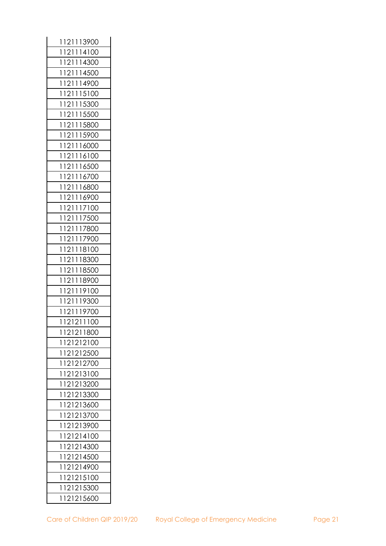| 121113900<br>1                    |
|-----------------------------------|
| 1<br>114100<br>121                |
| 1<br>14300<br>1<br>121            |
| 1<br>14500<br>1<br>121            |
| 1<br>1<br>121<br>14900            |
| 1<br>1<br>121<br>15100            |
| 15300<br>1<br>121<br>1            |
| 1<br>121<br>1<br>15500            |
| 1<br>1<br>121<br>15800            |
| 1<br>121<br>1<br>15900            |
| 1<br>121<br>1<br>16000            |
| 1<br>1<br>121<br>16100            |
| 1<br>121<br>1<br>16500            |
| 1<br>1<br>121<br>16700            |
| 1<br>1<br>121<br>16800            |
| 1<br>121<br>1<br>16900            |
| 1<br>1<br>17100<br>121            |
| 1<br>1<br>121<br>17500            |
| 1<br>121<br>1<br>17800            |
| 1<br>1<br>17900<br>121            |
| 1<br>1<br>121<br>18100            |
| 1<br>121<br>1<br>18300            |
| 1<br>118500<br>121                |
| 1<br>1<br>121<br>18900            |
| 1<br>121<br>1<br>19100            |
| 1<br>1<br>19300<br>121            |
| $\mathbf{I}$<br>1<br>121<br>19700 |
| 1<br>121211100                    |
| 1121211800                        |
| 121212100<br>1                    |
| 1<br>121212500                    |
| 1<br>121212700                    |
| 121213100<br>1                    |
| 1<br>121213200                    |
| 1<br>121213300                    |
| 121213600<br>1                    |
| 1<br>121213700                    |
| 1<br>121213900                    |
| 121214100<br>1                    |
| 1<br>121214300                    |
| 121214500<br>1                    |
| 121214900<br>1                    |
| 1<br>121215100                    |
| 1<br>121215300                    |
| 121215600<br>1                    |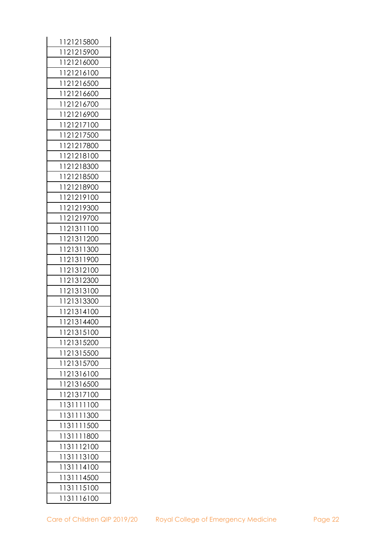| 1121215800     |
|----------------|
| 1<br>121215900 |
| 1<br>121216000 |
| 1<br>121216100 |
| 1<br>121216500 |
| 1<br>121216600 |
| 1<br>121216700 |
| 1<br>121216900 |
| 1<br>121217100 |
| 121217500<br>1 |
| 1<br>121217800 |
| 1<br>121218100 |
| 121218300<br>1 |
| 1<br>121218500 |
| 1<br>121218900 |
| 121219100<br>1 |
| 1<br>121219300 |
| 121219700<br>1 |
| 121311100<br>1 |
| 121311200<br>1 |
| 121311300<br>1 |
| 121311900<br>1 |
| 121312100<br>1 |
| 1<br>121312300 |
| 121313100<br>1 |
| 121313300<br>1 |
| 1<br>121314100 |
| 121314400<br>1 |
| 1121315100     |
| 1<br>121315200 |
| 1<br>121315500 |
| 121315700<br>1 |
| 121316100<br>1 |
| 121316500<br>1 |
| 121317100<br>1 |
| 131111100<br>1 |
| 131111300<br>1 |
| 131111500<br>1 |
| 131111800<br>1 |
| 131112100<br>1 |
| 131113100<br>1 |
| 131114100<br>1 |
| 131114500<br>1 |
| 131115100<br>1 |
| 131116100<br>1 |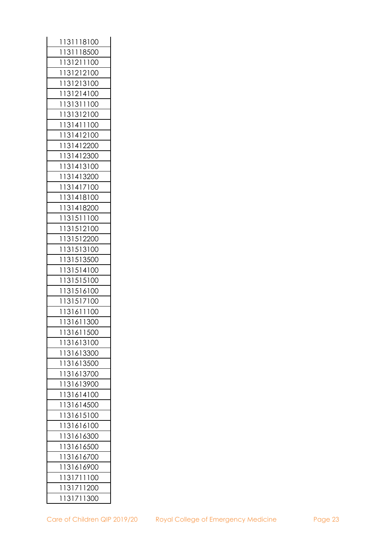| 131118100<br>1 |
|----------------|
| 1<br>131118500 |
| 1<br>131211100 |
| 131212100<br>1 |
| 1<br>131213100 |
| 1<br>131214100 |
| 131311100<br>1 |
| 131312100<br>1 |
| 1<br>131411100 |
| 131412100<br>1 |
| 1<br>131412200 |
| 1<br>131412300 |
| 1<br>131413100 |
| 1<br>131413200 |
| 1<br>131417100 |
| 1<br>131418100 |
| 1<br>131418200 |
| 1<br>131511100 |
| 131512100<br>1 |
| 1<br>131512200 |
| 1<br>131513100 |
| 131513500<br>1 |
| 1<br>131514100 |
| 1<br>131515100 |
| 1<br>131516100 |
| 1<br>131517100 |
| 1<br>131611100 |
| 1<br>131611300 |
| 131611500<br>1 |
| 131613100<br>1 |
| 131613300<br>1 |
| 1<br>131613500 |
| 131613700<br>1 |
| 1<br>131613900 |
| 1<br>131614100 |
| 131614500<br>1 |
| 1<br>131615100 |
| 1<br>131616100 |
| 131616300<br>1 |
| 1<br>131616500 |
| 1<br>131616700 |
| 131616900<br>1 |
| 1<br>131711100 |
| 131711200<br>1 |
| 131711300<br>1 |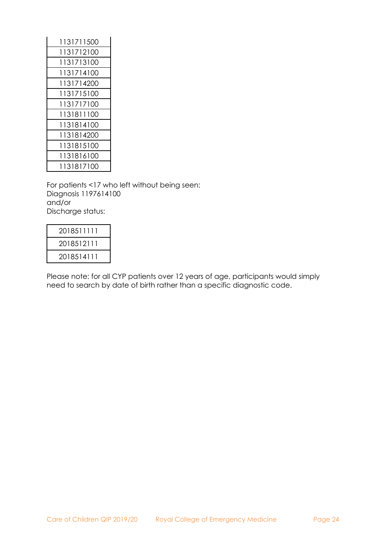| 1131711500 |
|------------|
| 1131712100 |
| 1131713100 |
| 1131714100 |
| 1131714200 |
| 1131715100 |
| 1131717100 |
| 1131811100 |
| 1131814100 |
| 1131814200 |
| 1131815100 |
| 1131816100 |
| 1131817100 |

For patients <17 who left without being seen: Diagnosis 1197614100 and/or Discharge status:

| 2018511111 |
|------------|
| 2018512111 |
| 2018514111 |

Please note: for all CYP patients over 12 years of age, participants would simply need to search by date of birth rather than a specific diagnostic code.